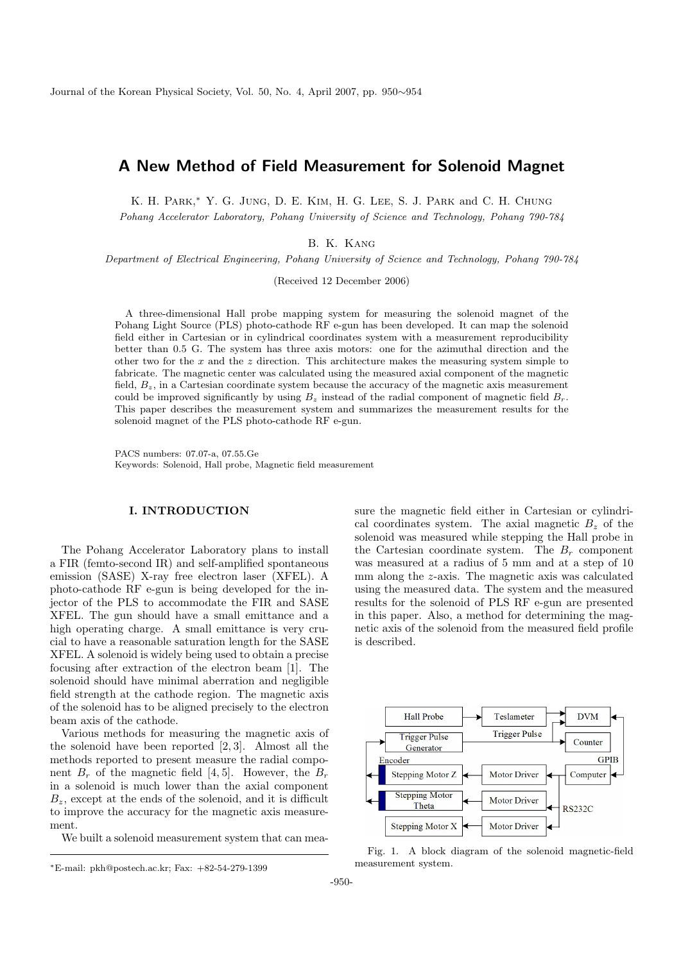# A New Method of Field Measurement for Solenoid Magnet

K. H. PARK,<sup>\*</sup> Y. G. JUNG, D. E. KIM, H. G. LEE, S. J. PARK and C. H. CHUNG

Pohang Accelerator Laboratory, Pohang University of Science and Technology, Pohang 790-784

B. K. Kang

Department of Electrical Engineering, Pohang University of Science and Technology, Pohang 790-784

(Received 12 December 2006)

A three-dimensional Hall probe mapping system for measuring the solenoid magnet of the Pohang Light Source (PLS) photo-cathode RF e-gun has been developed. It can map the solenoid field either in Cartesian or in cylindrical coordinates system with a measurement reproducibility better than 0.5 G. The system has three axis motors: one for the azimuthal direction and the other two for the  $x$  and the  $z$  direction. This architecture makes the measuring system simple to fabricate. The magnetic center was calculated using the measured axial component of the magnetic field,  $B_z$ , in a Cartesian coordinate system because the accuracy of the magnetic axis measurement could be improved significantly by using  $B_z$  instead of the radial component of magnetic field  $B_r$ . This paper describes the measurement system and summarizes the measurement results for the solenoid magnet of the PLS photo-cathode RF e-gun.

PACS numbers: 07.07-a, 07.55.Ge Keywords: Solenoid, Hall probe, Magnetic field measurement

## I. INTRODUCTION

The Pohang Accelerator Laboratory plans to install a FIR (femto-second IR) and self-amplified spontaneous emission (SASE) X-ray free electron laser (XFEL). A photo-cathode RF e-gun is being developed for the injector of the PLS to accommodate the FIR and SASE XFEL. The gun should have a small emittance and a high operating charge. A small emittance is very crucial to have a reasonable saturation length for the SASE XFEL. A solenoid is widely being used to obtain a precise focusing after extraction of the electron beam [1]. The solenoid should have minimal aberration and negligible field strength at the cathode region. The magnetic axis of the solenoid has to be aligned precisely to the electron beam axis of the cathode.

Various methods for measuring the magnetic axis of the solenoid have been reported [2, 3]. Almost all the methods reported to present measure the radial component  $B_r$  of the magnetic field [4, 5]. However, the  $B_r$ in a solenoid is much lower than the axial component  $B<sub>z</sub>$ , except at the ends of the solenoid, and it is difficult to improve the accuracy for the magnetic axis measurement.

We built a solenoid measurement system that can mea-

sure the magnetic field either in Cartesian or cylindrical coordinates system. The axial magnetic  $B<sub>z</sub>$  of the solenoid was measured while stepping the Hall probe in the Cartesian coordinate system. The  $B_r$  component was measured at a radius of 5 mm and at a step of 10 mm along the z-axis. The magnetic axis was calculated using the measured data. The system and the measured results for the solenoid of PLS RF e-gun are presented in this paper. Also, a method for determining the magnetic axis of the solenoid from the measured field profile is described.



Fig. 1. A block diagram of the solenoid magnetic-field measurement system.

<sup>∗</sup>E-mail: pkh@postech.ac.kr; Fax: +82-54-279-1399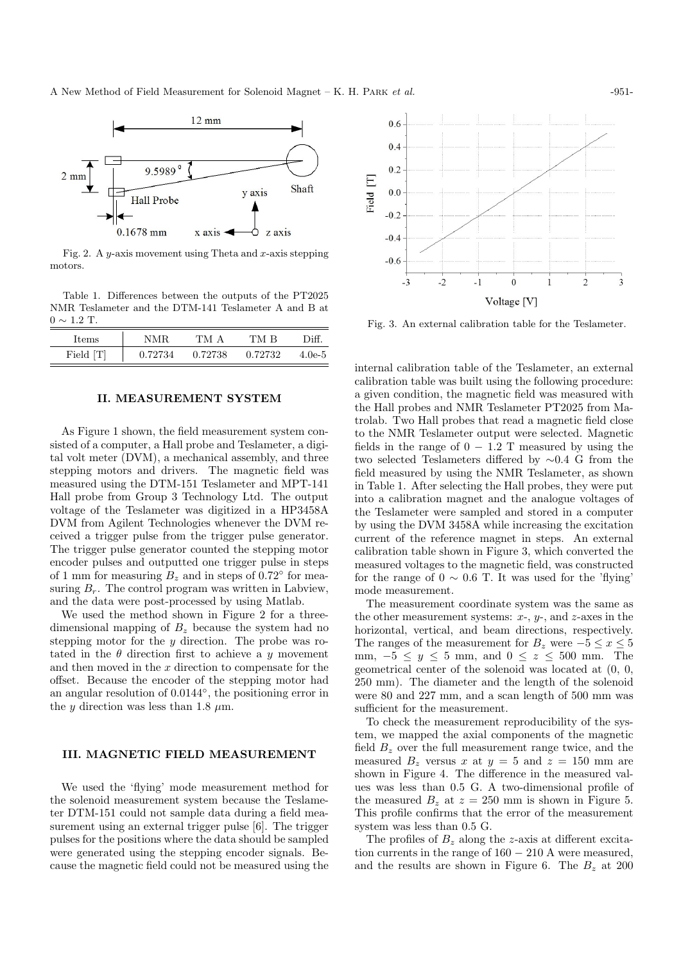

Fig. 2. A y-axis movement using Theta and x-axis stepping motors.

Table 1. Differences between the outputs of the PT2025 NMR Teslameter and the DTM-141 Teslameter A and B at  $0 \sim 1.2$  T.

| $_{\rm{items}}$ | NMR     | TM A    | TM R    | Diff     |
|-----------------|---------|---------|---------|----------|
| Field [T]       | 0.72734 | 0.72738 | 0.72732 | $4.0e-5$ |

## II. MEASUREMENT SYSTEM

As Figure 1 shown, the field measurement system consisted of a computer, a Hall probe and Teslameter, a digital volt meter (DVM), a mechanical assembly, and three stepping motors and drivers. The magnetic field was measured using the DTM-151 Teslameter and MPT-141 Hall probe from Group 3 Technology Ltd. The output voltage of the Teslameter was digitized in a HP3458A DVM from Agilent Technologies whenever the DVM received a trigger pulse from the trigger pulse generator. The trigger pulse generator counted the stepping motor encoder pulses and outputted one trigger pulse in steps of 1 mm for measuring  $B_z$  and in steps of 0.72 $\textdegree$  for measuring  $B_r$ . The control program was written in Labview, and the data were post-processed by using Matlab.

We used the method shown in Figure 2 for a threedimensional mapping of  $B<sub>z</sub>$  because the system had no stepping motor for the y direction. The probe was rotated in the  $\theta$  direction first to achieve a y movement and then moved in the  $x$  direction to compensate for the offset. Because the encoder of the stepping motor had an angular resolution of 0.0144◦ , the positioning error in the y direction was less than 1.8  $\mu$ m.

#### III. MAGNETIC FIELD MEASUREMENT

We used the 'flying' mode measurement method for the solenoid measurement system because the Teslameter DTM-151 could not sample data during a field measurement using an external trigger pulse [6]. The trigger pulses for the positions where the data should be sampled were generated using the stepping encoder signals. Because the magnetic field could not be measured using the



Fig. 3. An external calibration table for the Teslameter.

internal calibration table of the Teslameter, an external calibration table was built using the following procedure: a given condition, the magnetic field was measured with the Hall probes and NMR Teslameter PT2025 from Matrolab. Two Hall probes that read a magnetic field close to the NMR Teslameter output were selected. Magnetic fields in the range of  $0 - 1.2$  T measured by using the two selected Teslameters differed by ∼0.4 G from the field measured by using the NMR Teslameter, as shown in Table 1. After selecting the Hall probes, they were put into a calibration magnet and the analogue voltages of the Teslameter were sampled and stored in a computer by using the DVM 3458A while increasing the excitation current of the reference magnet in steps. An external calibration table shown in Figure 3, which converted the measured voltages to the magnetic field, was constructed for the range of  $0 \sim 0.6$  T. It was used for the 'flying' mode measurement.

The measurement coordinate system was the same as the other measurement systems:  $x-$ ,  $y-$ , and  $z$ -axes in the horizontal, vertical, and beam directions, respectively. The ranges of the measurement for  $B_z$  were  $-5 \le x \le 5$ mm,  $-5 \leq y \leq 5$  mm, and  $0 \leq z \leq 500$  mm. The geometrical center of the solenoid was located at (0, 0, 250 mm). The diameter and the length of the solenoid were 80 and 227 mm, and a scan length of 500 mm was sufficient for the measurement.

To check the measurement reproducibility of the system, we mapped the axial components of the magnetic field  $B<sub>z</sub>$  over the full measurement range twice, and the measured  $B_z$  versus x at  $y = 5$  and  $z = 150$  mm are shown in Figure 4. The difference in the measured values was less than 0.5 G. A two-dimensional profile of the measured  $B_z$  at  $z = 250$  mm is shown in Figure 5. This profile confirms that the error of the measurement system was less than 0.5 G.

The profiles of  $B<sub>z</sub>$  along the z-axis at different excitation currents in the range of  $160 - 210$  A were measured, and the results are shown in Figure 6. The  $B_z$  at 200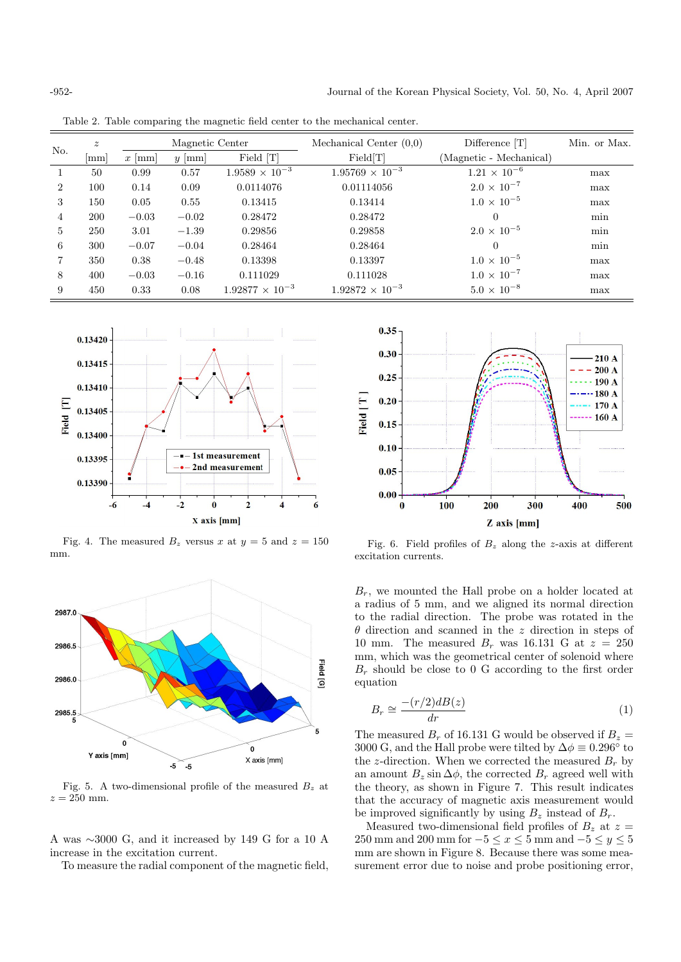| No.            | $\boldsymbol{z}$<br> mm | $x$  mm | Magnetic Center<br>$y \mid \text{mm}$ | Field [T]                | Mechanical Center $(0,0)$<br>Field[T] | Difference $[T]$<br>(Magnetic - Mechanical) | Min. or Max. |
|----------------|-------------------------|---------|---------------------------------------|--------------------------|---------------------------------------|---------------------------------------------|--------------|
| $\mathbf{1}$   | 50                      | 0.99    | 0.57                                  | $1.9589 \times 10^{-3}$  | $1.95769 \times 10^{-3}$              | $1.21 \times 10^{-6}$                       | max          |
| $\overline{2}$ | 100                     | 0.14    | 0.09                                  | 0.0114076                | 0.01114056                            | $2.0 \times 10^{-7}$                        | max          |
| 3              | 150                     | 0.05    | 0.55                                  | 0.13415                  | 0.13414                               | $1.0 \times 10^{-5}$                        | max          |
| 4              | <b>200</b>              | $-0.03$ | $-0.02$                               | 0.28472                  | 0.28472                               | $\Omega$                                    | min          |
| 5              | 250                     | 3.01    | $-1.39$                               | 0.29856                  | 0.29858                               | $2.0 \times 10^{-5}$                        | min          |
| 6              | 300                     | $-0.07$ | $-0.04$                               | 0.28464                  | 0.28464                               | $\Omega$                                    | min          |
|                | 350                     | 0.38    | $-0.48$                               | 0.13398                  | 0.13397                               | $1.0 \times 10^{-5}$                        | max          |
| 8              | 400                     | $-0.03$ | $-0.16$                               | 0.111029                 | 0.111028                              | $1.0 \times 10^{-7}$                        | max          |
| 9              | 450                     | 0.33    | 0.08                                  | $1.92877 \times 10^{-3}$ | $1.92872 \times 10^{-3}$              | $5.0 \times 10^{-8}$                        | max          |
|                |                         |         |                                       |                          |                                       |                                             |              |

Table 2. Table comparing the magnetic field center to the mechanical center.



Fig. 4. The measured  $B_z$  versus x at  $y = 5$  and  $z = 150$ mm.



Fig. 5. A two-dimensional profile of the measured  $B<sub>z</sub>$  at  $z = 250$  mm.

A was ∼3000 G, and it increased by 149 G for a 10 A increase in the excitation current.

To measure the radial component of the magnetic field,



Fig. 6. Field profiles of  $B<sub>z</sub>$  along the z-axis at different excitation currents.

 $B_r$ , we mounted the Hall probe on a holder located at a radius of 5 mm, and we aligned its normal direction to the radial direction. The probe was rotated in the  $\theta$  direction and scanned in the z direction in steps of 10 mm. The measured  $B_r$  was 16.131 G at  $z = 250$ mm, which was the geometrical center of solenoid where  $B_r$  should be close to 0 G according to the first order equation

$$
B_r \cong \frac{-(r/2)dB(z)}{dr} \tag{1}
$$

The measured  $B_r$  of 16.131 G would be observed if  $B_z =$ 3000 G, and the Hall probe were tilted by  $\Delta \phi \equiv 0.296^{\circ}$  to the z-direction. When we corrected the measured  $B_r$  by an amount  $B_z \sin \Delta \phi$ , the corrected  $B_r$  agreed well with the theory, as shown in Figure 7. This result indicates that the accuracy of magnetic axis measurement would be improved significantly by using  $B_z$  instead of  $B_r$ .

Measured two-dimensional field profiles of  $B_z$  at  $z =$ 250 mm and 200 mm for  $-5 \le x \le 5$  mm and  $-5 \le y \le 5$ mm are shown in Figure 8. Because there was some measurement error due to noise and probe positioning error,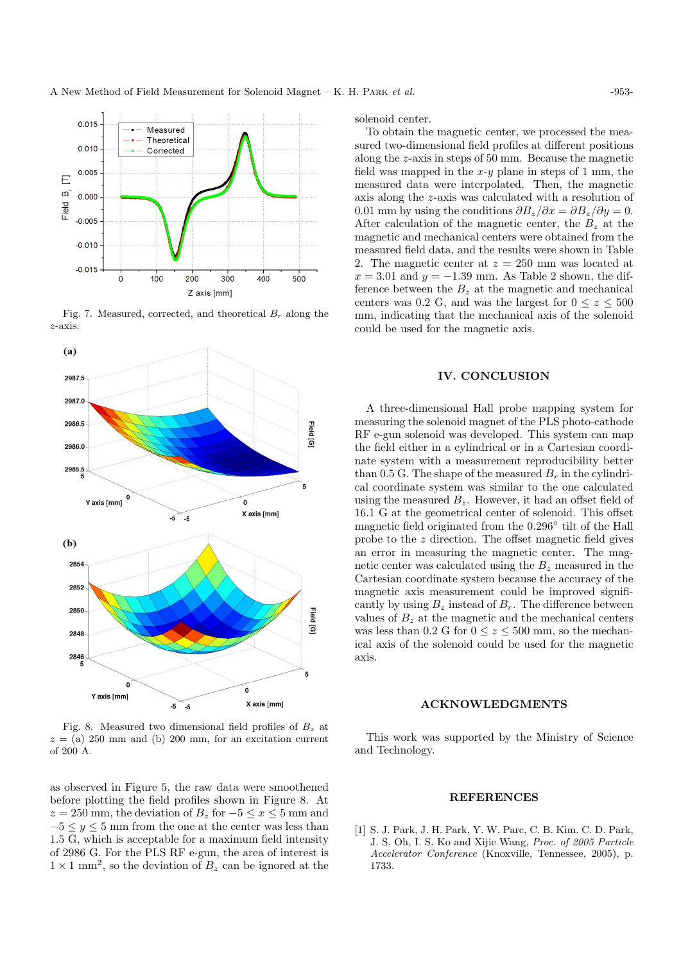

Fig. 7. Measured, corrected, and theoretical  $B_r$  along the z-axis.



Fig. 8. Measured two dimensional field profiles of  $B<sub>z</sub>$  at  $z = (a)$  250 mm and (b) 200 mm, for an excitation current of 200 A.

as observed in Figure 5, the raw data were smoothened before plotting the field profiles shown in Figure 8. At  $z = 250$  mm, the deviation of  $B_z$  for  $-5 \le x \le 5$  mm and  $-5 \leq y \leq 5$  mm from the one at the center was less than 1.5 G, which is acceptable for a maximum field intensity of 2986 G. For the PLS RF e-gun, the area of interest is  $1 \times 1$  mm<sup>2</sup>, so the deviation of  $B_z$  can be ignored at the

solenoid center.

To obtain the magnetic center, we processed the measured two-dimensional field profiles at different positions along the z-axis in steps of 50 mm. Because the magnetic field was mapped in the  $x-y$  plane in steps of 1 mm, the measured data were interpolated. Then, the magnetic axis along the z-axis was calculated with a resolution of 0.01 mm by using the conditions  $\partial B_z/\partial x = \partial B_z/\partial y = 0$ . After calculation of the magnetic center, the  $B<sub>z</sub>$  at the magnetic and mechanical centers were obtained from the measured field data, and the results were shown in Table 2. The magnetic center at  $z = 250$  mm was located at  $x = 3.01$  and  $y = -1.39$  mm. As Table 2 shown, the difference between the  $B<sub>z</sub>$  at the magnetic and mechanical centers was 0.2 G, and was the largest for  $0 \le z \le 500$ mm, indicating that the mechanical axis of the solenoid could be used for the magnetic axis.

#### IV. CONCLUSION

A three-dimensional Hall probe mapping system for measuring the solenoid magnet of the PLS photo-cathode RF e-gun solenoid was developed. This system can map the field either in a cylindrical or in a Cartesian coordinate system with a measurement reproducibility better than 0.5 G. The shape of the measured  $B_r$  in the cylindrical coordinate system was similar to the one calculated using the measured  $B_z$ . However, it had an offset field of 16.1 G at the geometrical center of solenoid. This offset magnetic field originated from the 0.296◦ tilt of the Hall probe to the z direction. The offset magnetic field gives an error in measuring the magnetic center. The magnetic center was calculated using the  $B<sub>z</sub>$  measured in the Cartesian coordinate system because the accuracy of the magnetic axis measurement could be improved significantly by using  $B_z$  instead of  $B_r$ . The difference between values of  $B<sub>z</sub>$  at the magnetic and the mechanical centers was less than 0.2 G for  $0 \le z \le 500$  mm, so the mechanical axis of the solenoid could be used for the magnetic axis.

### ACKNOWLEDGMENTS

This work was supported by the Ministry of Science and Technology.

#### REFERENCES

[1] S. J. Park, J. H. Park, Y. W. Parc, C. B. Kim. C. D. Park, J. S. Oh, I. S. Ko and Xijie Wang, Proc. of 2005 Particle Accelerator Conference (Knoxville, Tennessee, 2005), p. 1733.